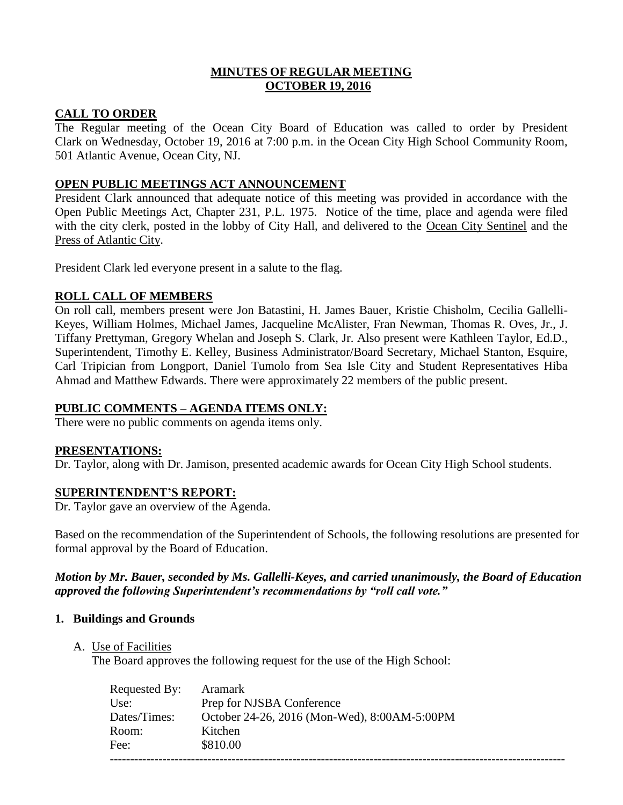## **MINUTES OF REGULAR MEETING OCTOBER 19, 2016**

# **CALL TO ORDER**

The Regular meeting of the Ocean City Board of Education was called to order by President Clark on Wednesday, October 19, 2016 at 7:00 p.m. in the Ocean City High School Community Room, 501 Atlantic Avenue, Ocean City, NJ.

# **OPEN PUBLIC MEETINGS ACT ANNOUNCEMENT**

President Clark announced that adequate notice of this meeting was provided in accordance with the Open Public Meetings Act, Chapter 231, P.L. 1975. Notice of the time, place and agenda were filed with the city clerk, posted in the lobby of City Hall, and delivered to the Ocean City Sentinel and the Press of Atlantic City.

President Clark led everyone present in a salute to the flag.

# **ROLL CALL OF MEMBERS**

On roll call, members present were Jon Batastini, H. James Bauer, Kristie Chisholm, Cecilia Gallelli-Keyes, William Holmes, Michael James, Jacqueline McAlister, Fran Newman, Thomas R. Oves, Jr., J. Tiffany Prettyman, Gregory Whelan and Joseph S. Clark, Jr. Also present were Kathleen Taylor, Ed.D., Superintendent, Timothy E. Kelley, Business Administrator/Board Secretary, Michael Stanton, Esquire, Carl Tripician from Longport, Daniel Tumolo from Sea Isle City and Student Representatives Hiba Ahmad and Matthew Edwards. There were approximately 22 members of the public present.

## **PUBLIC COMMENTS – AGENDA ITEMS ONLY:**

There were no public comments on agenda items only.

# **PRESENTATIONS:**

Dr. Taylor, along with Dr. Jamison, presented academic awards for Ocean City High School students.

## **SUPERINTENDENT'S REPORT:**

Dr. Taylor gave an overview of the Agenda.

Based on the recommendation of the Superintendent of Schools, the following resolutions are presented for formal approval by the Board of Education.

## *Motion by Mr. Bauer, seconded by Ms. Gallelli-Keyes, and carried unanimously, the Board of Education approved the following Superintendent's recommendations by "roll call vote."*

## **1. Buildings and Grounds**

A. Use of Facilities

The Board approves the following request for the use of the High School:

| Requested By: | Aramark                                      |
|---------------|----------------------------------------------|
| Use:          | Prep for NJSBA Conference                    |
| Dates/Times:  | October 24-26, 2016 (Mon-Wed), 8:00AM-5:00PM |
| Room:         | Kitchen                                      |
| Fee:          | \$810.00                                     |
|               |                                              |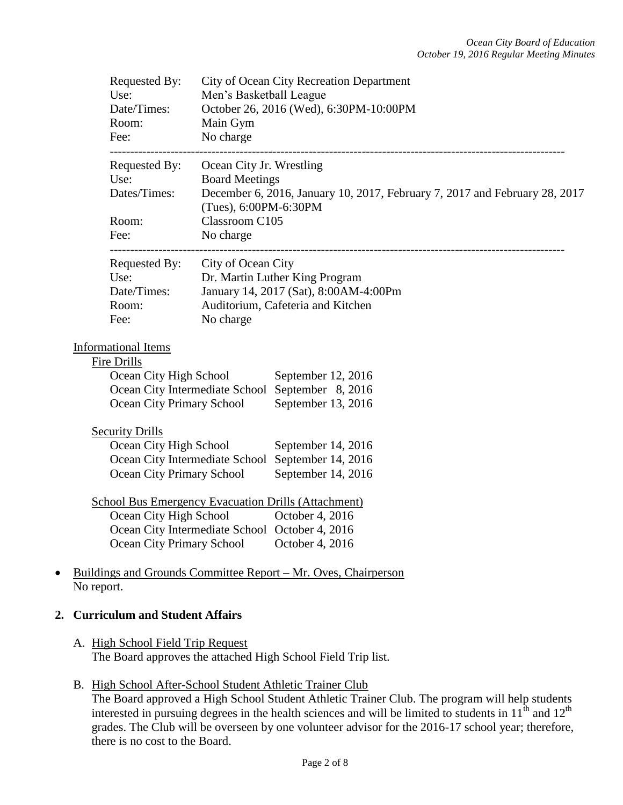| Requested By:<br>Use:<br>Date/Times:<br>Room:<br>Fee:                         | City of Ocean City Recreation Department<br>Men's Basketball League<br>October 26, 2016 (Wed), 6:30PM-10:00PM<br>Main Gym<br>No charge                   |
|-------------------------------------------------------------------------------|----------------------------------------------------------------------------------------------------------------------------------------------------------|
| Requested By:<br>Use:<br>Dates/Times:                                         | Ocean City Jr. Wrestling<br><b>Board Meetings</b><br>December 6, 2016, January 10, 2017, February 7, 2017 and February 28, 2017<br>(Tues), 6:00PM-6:30PM |
| Room:<br>Fee:                                                                 | Classroom C105<br>No charge                                                                                                                              |
| ----------------------<br>Requested By:<br>Use:                               | City of Ocean City<br>Dr. Martin Luther King Program                                                                                                     |
| Date/Times:<br>Room:<br>Fee:                                                  | January 14, 2017 (Sat), 8:00AM-4:00Pm<br>Auditorium, Cafeteria and Kitchen<br>No charge                                                                  |
| <b>Informational Items</b><br>Fire Drills                                     |                                                                                                                                                          |
| Ocean City High School<br><b>Ocean City Primary School</b>                    | September 12, 2016<br>Ocean City Intermediate School September 8, 2016<br>September 13, 2016                                                             |
| <b>Security Drills</b><br>Ocean City High School<br>Ocean City Primary School | September 14, 2016<br>Ocean City Intermediate School September 14, 2016<br>September 14, 2016                                                            |
| Ocean City High School<br>Ocean City Primary School                           | <b>School Bus Emergency Evacuation Drills (Attachment)</b><br>October 4, 2016<br>Ocean City Intermediate School October 4, 2016<br>October 4, 2016       |
| $\bullet$<br>No report.                                                       | Buildings and Grounds Committee Report - Mr. Oves, Chairperson                                                                                           |

## **2. Curriculum and Student Affairs**

- A. High School Field Trip Request The Board approves the attached High School Field Trip list.
- B. High School After-School Student Athletic Trainer Club The Board approved a High School Student Athletic Trainer Club. The program will help students interested in pursuing degrees in the health sciences and will be limited to students in  $11<sup>th</sup>$  and  $12<sup>th</sup>$ grades. The Club will be overseen by one volunteer advisor for the 2016-17 school year; therefore, there is no cost to the Board.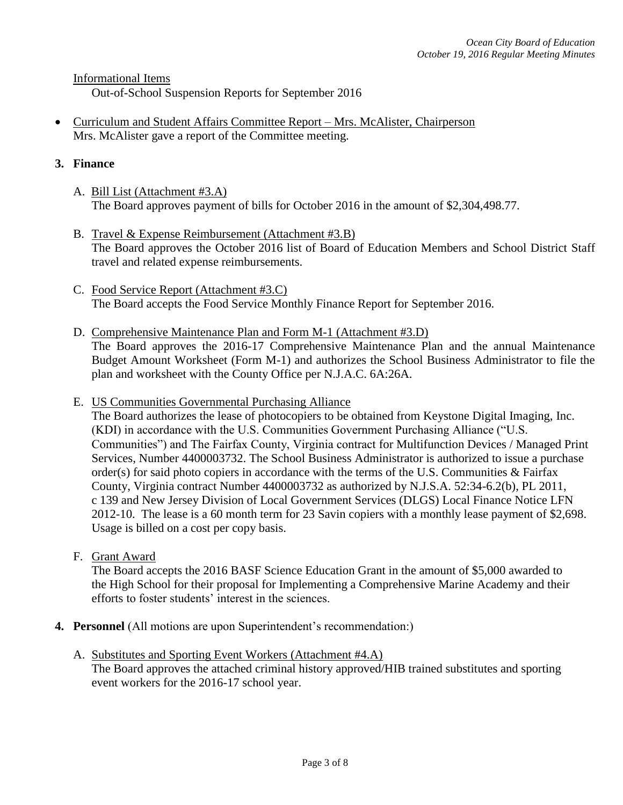Informational Items

Out-of-School Suspension Reports for September 2016

 Curriculum and Student Affairs Committee Report – Mrs. McAlister, Chairperson Mrs. McAlister gave a report of the Committee meeting.

## **3. Finance**

- A. Bill List (Attachment #3.A) The Board approves payment of bills for October 2016 in the amount of \$2,304,498.77.
- B. Travel & Expense Reimbursement (Attachment #3.B) The Board approves the October 2016 list of Board of Education Members and School District Staff travel and related expense reimbursements.
- C. Food Service Report (Attachment #3.C) The Board accepts the Food Service Monthly Finance Report for September 2016.
- D. Comprehensive Maintenance Plan and Form M-1 (Attachment #3.D) The Board approves the 2016-17 Comprehensive Maintenance Plan and the annual Maintenance Budget Amount Worksheet (Form M-1) and authorizes the School Business Administrator to file the plan and worksheet with the County Office per N.J.A.C. 6A:26A.
- E. US Communities Governmental Purchasing Alliance

The Board authorizes the lease of photocopiers to be obtained from Keystone Digital Imaging, Inc. (KDI) in accordance with the U.S. Communities Government Purchasing Alliance ("U.S. Communities") and The Fairfax County, Virginia contract for Multifunction Devices / Managed Print Services, Number 4400003732. The School Business Administrator is authorized to issue a purchase order(s) for said photo copiers in accordance with the terms of the U.S. Communities & Fairfax County, Virginia contract Number 4400003732 as authorized by N.J.S.A. 52:34-6.2(b), PL 2011, c 139 and New Jersey Division of Local Government Services (DLGS) Local Finance Notice LFN 2012-10. The lease is a 60 month term for 23 Savin copiers with a monthly lease payment of \$2,698. Usage is billed on a cost per copy basis.

F. Grant Award

The Board accepts the 2016 BASF Science Education Grant in the amount of \$5,000 awarded to the High School for their proposal for Implementing a Comprehensive Marine Academy and their efforts to foster students' interest in the sciences.

- **4. Personnel** (All motions are upon Superintendent's recommendation:)
	- A. Substitutes and Sporting Event Workers (Attachment #4.A) The Board approves the attached criminal history approved/HIB trained substitutes and sporting event workers for the 2016-17 school year.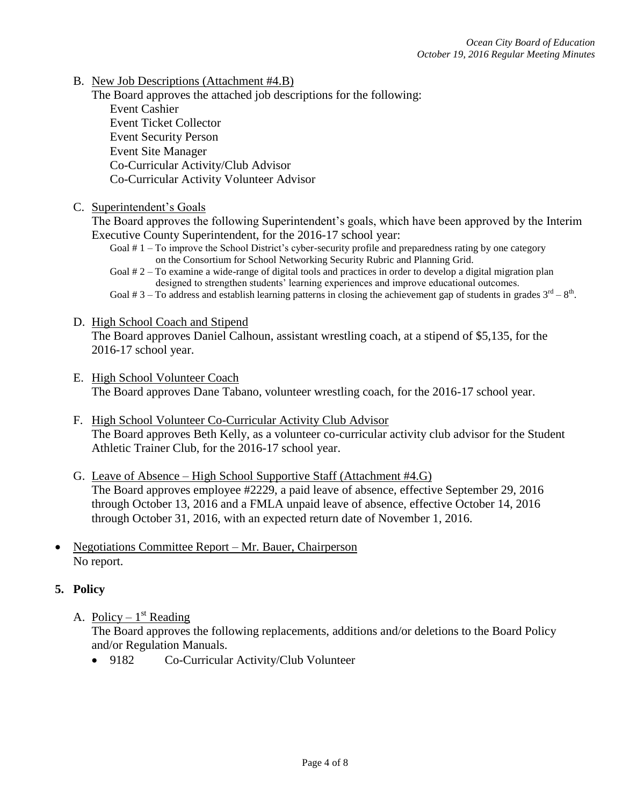B. New Job Descriptions (Attachment #4.B)

The Board approves the attached job descriptions for the following: Event Cashier Event Ticket Collector Event Security Person Event Site Manager Co-Curricular Activity/Club Advisor Co-Curricular Activity Volunteer Advisor

## C. Superintendent's Goals

The Board approves the following Superintendent's goals, which have been approved by the Interim Executive County Superintendent, for the 2016-17 school year:

- Goal # 1 To improve the School District's cyber-security profile and preparedness rating by one category on the Consortium for School Networking Security Rubric and Planning Grid.
- Goal # 2 To examine a wide-range of digital tools and practices in order to develop a digital migration plan designed to strengthen students' learning experiences and improve educational outcomes.
- Goal # 3 To address and establish learning patterns in closing the achievement gap of students in grades  $3^{rd} 8^{th}$ .

#### D. High School Coach and Stipend

The Board approves Daniel Calhoun, assistant wrestling coach, at a stipend of \$5,135, for the 2016-17 school year.

- E. High School Volunteer Coach The Board approves Dane Tabano, volunteer wrestling coach, for the 2016-17 school year.
- F. High School Volunteer Co-Curricular Activity Club Advisor The Board approves Beth Kelly, as a volunteer co-curricular activity club advisor for the Student Athletic Trainer Club, for the 2016-17 school year.
- G. Leave of Absence High School Supportive Staff (Attachment #4.G) The Board approves employee #2229, a paid leave of absence, effective September 29, 2016 through October 13, 2016 and a FMLA unpaid leave of absence, effective October 14, 2016 through October 31, 2016, with an expected return date of November 1, 2016.
- Negotiations Committee Report Mr. Bauer, Chairperson No report.

## **5. Policy**

A. Policy –  $1<sup>st</sup>$  Reading

The Board approves the following replacements, additions and/or deletions to the Board Policy and/or Regulation Manuals.

• 9182 Co-Curricular Activity/Club Volunteer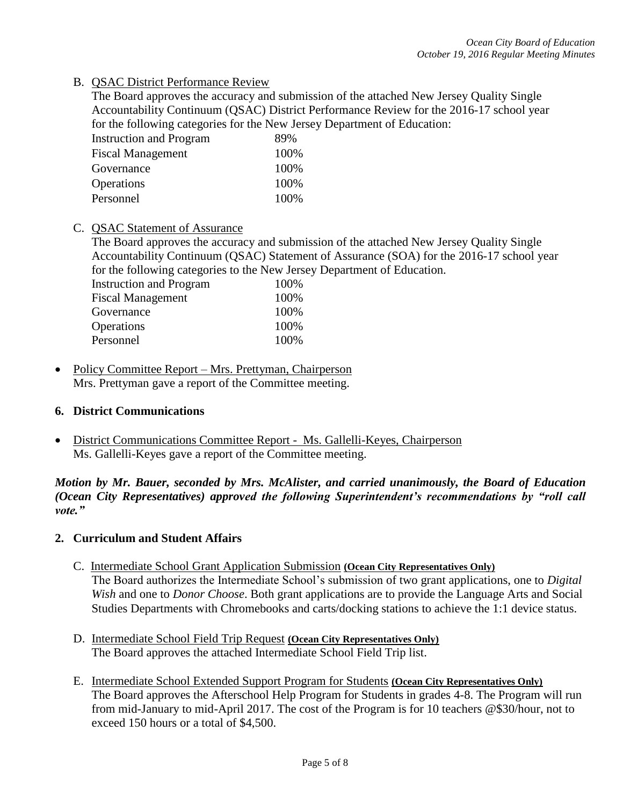B. QSAC District Performance Review

The Board approves the accuracy and submission of the attached New Jersey Quality Single Accountability Continuum (QSAC) District Performance Review for the 2016-17 school year for the following categories for the New Jersey Department of Education:

| <b>Instruction and Program</b> | 89%  |
|--------------------------------|------|
| <b>Fiscal Management</b>       | 100% |
| Governance                     | 100% |
| Operations                     | 100% |
| Personnel                      | 100% |

# C. QSAC Statement of Assurance

The Board approves the accuracy and submission of the attached New Jersey Quality Single Accountability Continuum (QSAC) Statement of Assurance (SOA) for the 2016-17 school year for the following categories to the New Jersey Department of Education.

| <b>Instruction and Program</b> | 100% |
|--------------------------------|------|
| <b>Fiscal Management</b>       | 100% |
| Governance                     | 100% |
| Operations                     | 100% |
| Personnel                      | 100% |
|                                |      |

• Policy Committee Report – Mrs. Prettyman, Chairperson Mrs. Prettyman gave a report of the Committee meeting.

# **6. District Communications**

• District Communications Committee Report - Ms. Gallelli-Keyes, Chairperson Ms. Gallelli-Keyes gave a report of the Committee meeting.

*Motion by Mr. Bauer, seconded by Mrs. McAlister, and carried unanimously, the Board of Education (Ocean City Representatives) approved the following Superintendent's recommendations by "roll call vote."* 

# **2. Curriculum and Student Affairs**

- C. Intermediate School Grant Application Submission **(Ocean City Representatives Only)** The Board authorizes the Intermediate School's submission of two grant applications, one to *Digital Wish* and one to *Donor Choose*. Both grant applications are to provide the Language Arts and Social Studies Departments with Chromebooks and carts/docking stations to achieve the 1:1 device status.
- D. Intermediate School Field Trip Request **(Ocean City Representatives Only)** The Board approves the attached Intermediate School Field Trip list.
- E. Intermediate School Extended Support Program for Students **(Ocean City Representatives Only)** The Board approves the Afterschool Help Program for Students in grades 4-8. The Program will run from mid-January to mid-April 2017. The cost of the Program is for 10 teachers @\$30/hour, not to exceed 150 hours or a total of \$4,500.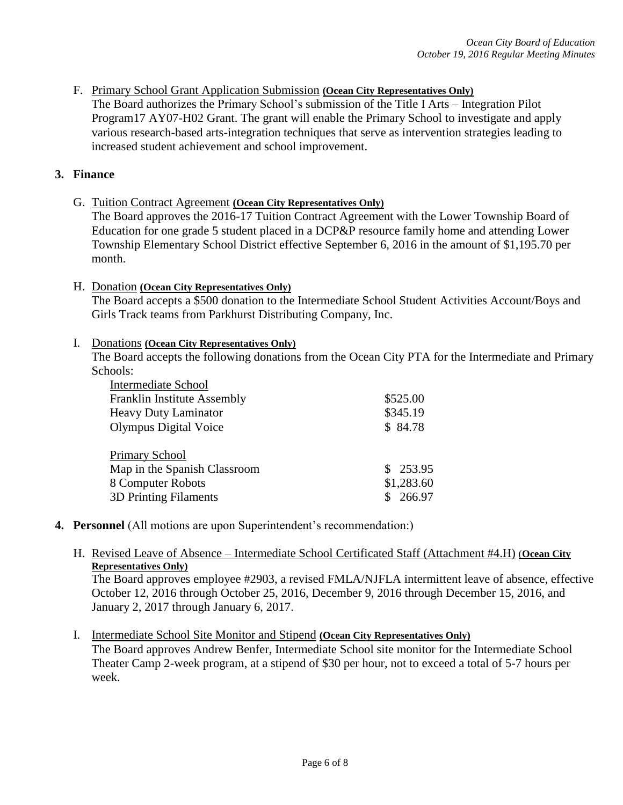F. Primary School Grant Application Submission **(Ocean City Representatives Only)** The Board authorizes the Primary School's submission of the Title I Arts – Integration Pilot Program17 AY07-H02 Grant. The grant will enable the Primary School to investigate and apply various research-based arts-integration techniques that serve as intervention strategies leading to increased student achievement and school improvement.

## **3. Finance**

G. Tuition Contract Agreement **(Ocean City Representatives Only)**

The Board approves the 2016-17 Tuition Contract Agreement with the Lower Township Board of Education for one grade 5 student placed in a DCP&P resource family home and attending Lower Township Elementary School District effective September 6, 2016 in the amount of \$1,195.70 per month.

#### H. Donation **(Ocean City Representatives Only)**

The Board accepts a \$500 donation to the Intermediate School Student Activities Account/Boys and Girls Track teams from Parkhurst Distributing Company, Inc.

#### I. Donations **(Ocean City Representatives Only)**

The Board accepts the following donations from the Ocean City PTA for the Intermediate and Primary Schools:

| <b>Intermediate School</b>         |            |
|------------------------------------|------------|
| <b>Franklin Institute Assembly</b> | \$525.00   |
| <b>Heavy Duty Laminator</b>        | \$345.19   |
| Olympus Digital Voice              | \$84.78    |
|                                    |            |
| <b>Primary School</b>              |            |
| Map in the Spanish Classroom       | \$253.95   |
| 8 Computer Robots                  | \$1,283.60 |
| <b>3D Printing Filaments</b>       | \$266.97   |

# **4. Personnel** (All motions are upon Superintendent's recommendation:)

H. Revised Leave of Absence – Intermediate School Certificated Staff (Attachment #4.H) (**Ocean City Representatives Only)**

The Board approves employee #2903, a revised FMLA/NJFLA intermittent leave of absence, effective October 12, 2016 through October 25, 2016, December 9, 2016 through December 15, 2016, and January 2, 2017 through January 6, 2017.

I. Intermediate School Site Monitor and Stipend **(Ocean City Representatives Only)** The Board approves Andrew Benfer, Intermediate School site monitor for the Intermediate School Theater Camp 2-week program, at a stipend of \$30 per hour, not to exceed a total of 5-7 hours per week.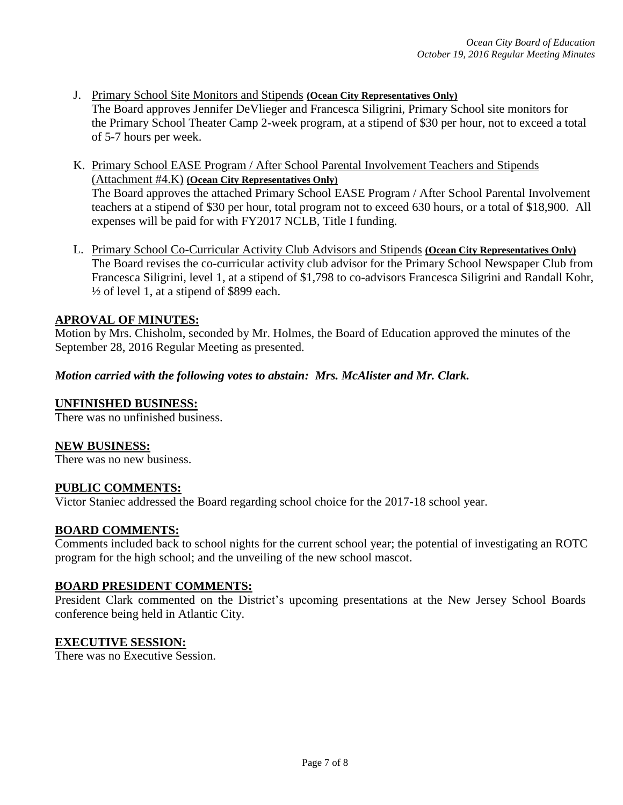- J. Primary School Site Monitors and Stipends **(Ocean City Representatives Only)** The Board approves Jennifer DeVlieger and Francesca Siligrini, Primary School site monitors for the Primary School Theater Camp 2-week program, at a stipend of \$30 per hour, not to exceed a total of 5-7 hours per week.
- K. Primary School EASE Program / After School Parental Involvement Teachers and Stipends (Attachment #4.K) **(Ocean City Representatives Only)** The Board approves the attached Primary School EASE Program / After School Parental Involvement teachers at a stipend of \$30 per hour, total program not to exceed 630 hours, or a total of \$18,900. All expenses will be paid for with FY2017 NCLB, Title I funding.
- L. Primary School Co-Curricular Activity Club Advisors and Stipends **(Ocean City Representatives Only)** The Board revises the co-curricular activity club advisor for the Primary School Newspaper Club from Francesca Siligrini, level 1, at a stipend of \$1,798 to co-advisors Francesca Siligrini and Randall Kohr,  $\frac{1}{2}$  of level 1, at a stipend of \$899 each.

## **APROVAL OF MINUTES:**

Motion by Mrs. Chisholm, seconded by Mr. Holmes, the Board of Education approved the minutes of the September 28, 2016 Regular Meeting as presented.

## *Motion carried with the following votes to abstain: Mrs. McAlister and Mr. Clark.*

#### **UNFINISHED BUSINESS:**

There was no unfinished business.

#### **NEW BUSINESS:**

There was no new business.

## **PUBLIC COMMENTS:**

Victor Staniec addressed the Board regarding school choice for the 2017-18 school year.

#### **BOARD COMMENTS:**

Comments included back to school nights for the current school year; the potential of investigating an ROTC program for the high school; and the unveiling of the new school mascot.

#### **BOARD PRESIDENT COMMENTS:**

President Clark commented on the District's upcoming presentations at the New Jersey School Boards conference being held in Atlantic City.

## **EXECUTIVE SESSION:**

There was no Executive Session.